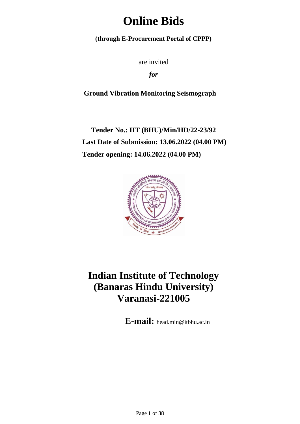# **Online Bids**

**(through E-Procurement Portal of CPPP)**

are invited

*for*

**Ground Vibration Monitoring Seismograph**

**Tender No.: IIT (BHU)/Min/HD/22-23/92 Last Date of Submission: 13.06.2022 (04.00 PM) Tender opening: 14.06.2022 (04.00 PM)**



# **Indian Institute of Technology (Banaras Hindu University) Varanasi-221005**

**E-mail:** head.min@itbhu.ac.in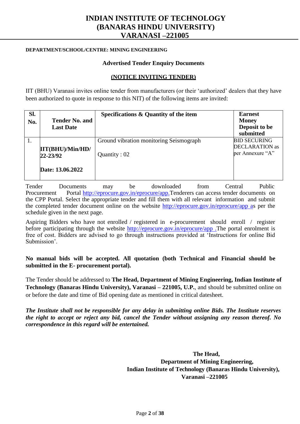# **INDIAN INSTITUTE OF TECHNOLOGY (BANARAS HINDU UNIVERSITY) VARANASI –221005**

#### **DEPARTMENT/SCHOOL/CENTRE: MINING ENGINEERING**

#### **Advertised Tender Enquiry Documents**

#### **(NOTICE INVITING TENDER)**

IIT (BHU) Varanasi invites online tender from manufacturers (or their "authorized" dealers that they have been authorized to quote in response to this NIT) of the following items are invited:

| SI.<br>No. | <b>Tender No. and</b><br><b>Last Date</b>            | Specifications & Quantity of the item                   | <b>Earnest</b><br><b>Money</b><br>Deposit to be<br>submitted     |
|------------|------------------------------------------------------|---------------------------------------------------------|------------------------------------------------------------------|
|            | IIT(BHU)/Min/HD/<br>$22 - 23/92$<br>Date: 13.06.2022 | Ground vibration monitoring Seismograph<br>Quantity: 02 | <b>BID SECURING</b><br><b>DECLARATION</b> as<br>per Annexure "A" |

Tender Documents may be downloaded from Central Public Procurement Portal [http://eprocure.gov.in/eprocure/app.T](http://eprocure.gov.in/eprocure/app)enderers can access tender documents on the CPP Portal. Select the appropriate tender and fill them with all relevant information and submit the completed tender document online on the website [http://eprocure.gov.in/eprocure/app as](http://eprocure.gov.in/eprocure/app) per the schedule given in the next page.

Aspiring Bidders who have not enrolled / registered in e-procurement should enroll / register before participating through the website [http://eprocure.gov.in/eprocure/app .T](http://eprocure.gov.in/eprocure/app)he portal enrolment is free of cost. Bidders are advised to go through instructions provided at "Instructions for online Bid Submission'.

**No manual bids will be accepted. All quotation (both Technical and Financial should be submitted in the E- procurement portal).**

The Tender should be addressed to **The Head, Department of Mining Engineering, Indian Institute of Technology (Banaras Hindu University), Varanasi – 221005, U.P.**, and should be submitted online on or before the date and time of Bid opening date as mentioned in critical datesheet.

*The Institute shall not be responsible for any delay in submitting online Bids. The Institute reserves the right to accept or reject any bid, cancel the Tender without assigning any reason thereof. No correspondence in this regard will be entertained.*

> **The Head, Department of Mining Engineering, Indian Institute of Technology (Banaras Hindu University), Varanasi –221005**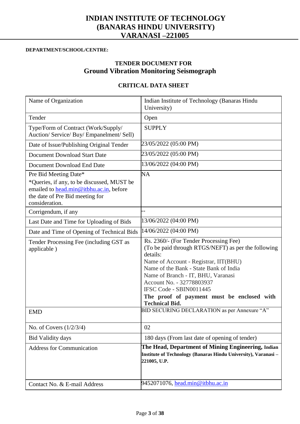# **INDIAN INSTITUTE OF TECHNOLOGY (BANARAS HINDU UNIVERSITY) VARANASI –221005**

#### **DEPARTMENT/SCHOOL/CENTRE:**

# **TENDER DOCUMENT FOR Ground Vibration Monitoring Seismograph**

#### **CRITICAL DATA SHEET**

| Name of Organization                                                                                                                                                | Indian Institute of Technology (Banaras Hindu<br>University)                                                                                                                                                                                                                                                                                                      |
|---------------------------------------------------------------------------------------------------------------------------------------------------------------------|-------------------------------------------------------------------------------------------------------------------------------------------------------------------------------------------------------------------------------------------------------------------------------------------------------------------------------------------------------------------|
| Tender                                                                                                                                                              | Open                                                                                                                                                                                                                                                                                                                                                              |
| Type/Form of Contract (Work/Supply/<br>Auction/ Service/ Buy/ Empanelment/ Sell)                                                                                    | <b>SUPPLY</b>                                                                                                                                                                                                                                                                                                                                                     |
| Date of Issue/Publishing Original Tender                                                                                                                            | 23/05/2022 (05:00 PM)                                                                                                                                                                                                                                                                                                                                             |
| Document Download Start Date                                                                                                                                        | 23/05/2022 (05:00 PM)                                                                                                                                                                                                                                                                                                                                             |
| Document Download End Date                                                                                                                                          | 13/06/2022 (04:00 PM)                                                                                                                                                                                                                                                                                                                                             |
| Pre Bid Meeting Date*<br>*Queries, if any, to be discussed, MUST be<br>emailed to head.min@itbhu.ac.in, before<br>the date of Pre Bid meeting for<br>consideration. | NA                                                                                                                                                                                                                                                                                                                                                                |
| Corrigendum, if any                                                                                                                                                 | --                                                                                                                                                                                                                                                                                                                                                                |
| Last Date and Time for Uploading of Bids                                                                                                                            | 13/06/2022 (04:00 PM)                                                                                                                                                                                                                                                                                                                                             |
| Date and Time of Opening of Technical Bids                                                                                                                          | 14/06/2022 (04:00 PM)                                                                                                                                                                                                                                                                                                                                             |
| Tender Processing Fee (including GST as<br>applicable)                                                                                                              | Rs. 2360/- (For Tender Processing Fee)<br>(To be paid through RTGS/NEFT) as per the following<br>details:<br>Name of Account - Registrar, IIT(BHU)<br>Name of the Bank - State Bank of India<br>Name of Branch - IT, BHU, Varanasi<br>Account No. - 32778803937<br>IFSC Code - SBIN0011445<br>The proof of payment must be enclosed with<br><b>Technical Bid.</b> |
| <b>EMD</b>                                                                                                                                                          | BID SECURING DECLARATION as per Annexure "A"                                                                                                                                                                                                                                                                                                                      |
| No. of Covers $(1/2/3/4)$                                                                                                                                           | 02                                                                                                                                                                                                                                                                                                                                                                |
| <b>Bid Validity days</b>                                                                                                                                            | 180 days (From last date of opening of tender)                                                                                                                                                                                                                                                                                                                    |
| <b>Address for Communication</b>                                                                                                                                    | The Head, Department of Mining Engineering, Indian<br>Institute of Technology (Banaras Hindu University), Varanasi-<br>221005, U.P.                                                                                                                                                                                                                               |
| Contact No. & E-mail Address                                                                                                                                        | 9452071076, head.min@itbhu.ac.in                                                                                                                                                                                                                                                                                                                                  |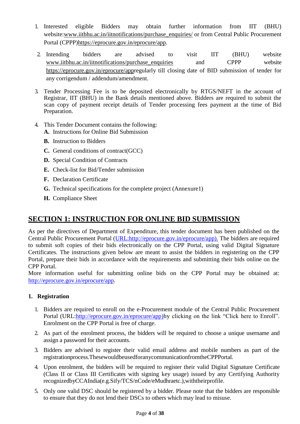- 1. Interested eligible Bidders may obtain further information from IIT (BHU) website[:www.iitbhu.ac.in/iitnotifications/purchase\\_enquiries/](http://www.iitbhu.ac.in/iitnotifications/purchase_enquiries/) or from Central Public Procurement Portal (CPPP[\)https://eprocure.gov.in/eprocure/app.](https://eprocure.gov.in/eprocure/app)
- 2. Intending bidders are advised to visit IIT (BHU) website [www.iitbhu.ac.in/iitnotifications/purchase\\_enquiries](http://www.iitbhu.ac.in/iitnotifications/purchase_enquiries/) and CPPP website [https://eprocure.gov.in/eprocure/appr](https://eprocure.gov.in/eprocure/app)egularly till closing date of BID submission of tender for any corrigendum / addendum/amendment.
- 3. Tender Processing Fee is to be deposited electronically by RTGS/NEFT in the account of Registrar, IIT (BHU) in the Bank details mentioned above. Bidders are required to submit the scan copy of payment receipt details of Tender processing fees payment at the time of Bid Preparation.
- 4. This Tender Document contains the following:
	- **A.** Instructions for Online Bid Submission
	- **B.** Instruction to Bidders
	- **C.** General conditions of contract(GCC)
	- **D.** Special Condition of Contracts
	- **E.** Check-list for Bid/Tender submission
	- **F.** Declaration Certificate
	- **G.** Technical specifications for the complete project (Annexure1)
	- **H.** Compliance Sheet

# **SECTION 1: INSTRUCTION FOR ONLINE BID SUBMISSION**

As per the directives of Department of Expenditure, this tender document has been published on the Central Public Procurement Portal [\(URL:http://eprocure.gov.in/eprocure/app\). T](http://eprocure.gov.in/eprocure/app)he bidders are required to submit soft copies of their bids electronically on the CPP Portal, using valid Digital Signature Certificates. The instructions given below are meant to assist the bidders in registering on the CPP Portal, prepare their bids in accordance with the requirements and submitting their bids online on the CPP Portal.

More information useful for submitting online bids on the CPP Portal may be obtained at: [http://eprocure.gov.in/eprocure/app.](http://eprocure.gov.in/eprocure/app)

# **1. Registration**

- 1. Bidders are required to enroll on the e-Procurement module of the Central Public Procurement Portal (URL[:http://eprocure.gov.in/eprocure/app\)b](http://eprocure.gov.in/eprocure/app)y clicking on the link "Click here to Enroll". Enrolment on the CPP Portal is free of charge.
- 2. As part of the enrolment process, the bidders will be required to choose a unique username and assign a password for their accounts.
- 3. Bidders are advised to register their valid email address and mobile numbers as part of the registrationprocess.ThesewouldbeusedforanycommunicationfromtheCPPPortal.
- 4. Upon enrolment, the bidders will be required to register their valid Digital Signature Certificate (Class II or Class III Certificates with signing key usage) issued by any Certifying Authority recognizedbyCCAIndia(e.g.Sify/TCS/nCode/eMudhraetc.),withtheirprofile.
- 5. Only one valid DSC should be registered by a bidder. Please note that the bidders are responsible to ensure that they do not lend their DSCs to others which may lead to misuse.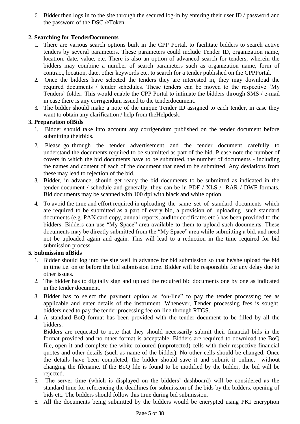6. Bidder then logs in to the site through the secured log-in by entering their user ID / password and the password of the DSC /eToken.

### **2. Searching for TenderDocuments**

- 1. There are various search options built in the CPP Portal, to facilitate bidders to search active tenders by several parameters. These parameters could include Tender ID, organization name, location, date, value, etc. There is also an option of advanced search for tenders, wherein the bidders may combine a number of search parameters such as organization name, form of contract, location, date, other keywords etc. to search for a tender published on the CPPPortal.
- 2. Once the bidders have selected the tenders they are interested in, they may download the required documents / tender schedules. These tenders can be moved to the respective "My Tenders" folder. This would enable the CPP Portal to intimate the bidders through SMS / e-mail in case there is any corrigendum issued to the tenderdocument.
- 3. The bidder should make a note of the unique Tender ID assigned to each tender, in case they want to obtain any clarification / help from theHelpdesk.

#### **3. Preparation ofBids**

- 1. Bidder should take into account any corrigendum published on the tender document before submitting theirbids.
- 2. Please go through the tender advertisement and the tender document carefully to understand the documents required to be submitted as part of the bid. Please note the number of covers in which the bid documents have to be submitted, the number of documents - including the names and content of each of the document that need to be submitted. Any deviations from these may lead to rejection of the bid.
- 3. Bidder, in advance, should get ready the bid documents to be submitted as indicated in the tender document / schedule and generally, they can be in PDF / XLS / RAR / DWF formats. Bid documents may be scanned with 100 dpi with black and white option.
- 4. To avoid the time and effort required in uploading the same set of standard documents which are required to be submitted as a part of every bid, a provision of uploading such standard documents (e.g. PAN card copy, annual reports, auditor certificates etc.) has been provided to the bidders. Bidders can use "My Space" area available to them to upload such documents. These documents may be directly submitted from the "My Space" area while submitting a bid, and need not be uploaded again and again. This will lead to a reduction in the time required for bid submission process.

# **5. Submission ofBids**

- 1. Bidder should log into the site well in advance for bid submission so that he/she upload the bid in time i.e. on or before the bid submission time. Bidder will be responsible for any delay due to other issues.
- 2. The bidder has to digitally sign and upload the required bid documents one by one as indicated in the tender document.
- 3. Bidder has to select the payment option as "on-line" to pay the tender processing fee as applicable and enter details of the instrument. Whenever, Tender processing fees is sought, bidders need to pay the tender processing fee on-line through RTGS.
- 4. A standard BoQ format has been provided with the tender document to be filled by all the bidders.

Bidders are requested to note that they should necessarily submit their financial bids in the format provided and no other format is acceptable. Bidders are required to download the BoQ file, open it and complete the white coloured (unprotected) cells with their respective financial quotes and other details (such as name of the bidder). No other cells should be changed. Once the details have been completed, the bidder should save it and submit it online, without changing the filename. If the BoQ file is found to be modified by the bidder, the bid will be rejected.

- 5. The server time (which is displayed on the bidders" dashboard) will be considered as the standard time for referencing the deadlines for submission of the bids by the bidders, opening of bids etc. The bidders should follow this time during bid submission.
- 6. All the documents being submitted by the bidders would be encrypted using PKI encryption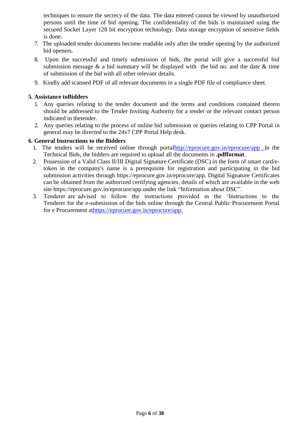techniques to ensure the secrecy of the data. The data entered cannot be viewed by unauthorized persons until the time of bid opening. The confidentiality of the bids is maintained using the secured Socket Layer 128 bit encryption technology. Data storage encryption of sensitive fields is done.

- 7. The uploaded tender documents become readable only after the tender opening by the authorized bid openers.
- 8. Upon the successful and timely submission of bids, the portal will give a successful bid submission message  $\&$  a bid summary will be displayed with the bid no. and the date  $\&$  time of submission of the bid with all other relevant details.
- 9. Kindly add scanned PDF of all relevant documents in a single PDF file of compliance sheet.

#### **5. Assistance toBidders**

- 1. Any queries relating to the tender document and the terms and conditions contained therein should be addressed to the Tender Inviting Authority for a tender or the relevant contact person indicated in thetender.
- 2. Any queries relating to the process of online bid submission or queries relating to CPP Portal in general may be directed to the 24x7 CPP Portal Help desk.

#### **6. General Instructions to the Bidders**

- 1. The tenders will be received online through porta[lhttp://eprocure.gov.in/eprocure/app .I](http://eprocure.gov.in/eprocure/app)n the Technical Bids, the bidders are required to upload all the documents in **.pdfformat**.
- 2. Possession of a Valid Class II/III Digital Signature Certificate (DSC) in the form of smart card/etoken in the company's name is a prerequisite for registration and participating in the bid submission activities through https://eprocure.gov.in/eprocure/app. Digital Signature Certificates can be obtained from the authorized certifying agencies, details of which are available in the web site https://eprocure.gov.in/eprocure/app under the link "Information about DSC".
- 3. Tenderer are advised to follow the instructions provided in the "Instructions to the Tenderer for the e-submission of the bids online through the Central Public Procurement Portal for e Procurement [athttps://eprocure.gov.in/eprocure/app.](https://eprocure.gov.in/eprocure/app)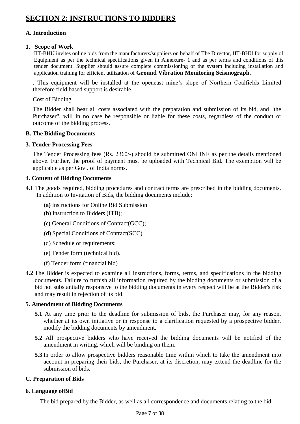# **A. Introduction**

#### **1. Scope of Work**

IIT-BHU invites online bids from the manufacturers/suppliers on behalf of The Director, IIT-BHU for supply of Equipment as per the technical specifications given in Annexure- 1 and as per terms and conditions of this tender document. Supplier should assure complete commissioning of the system including installation and application training for efficient utilization of **Ground Vibration Monitoring Seismograph.**

. This equipment will be installed at the opencast mine"s slope of Northern Coalfields Limited therefore field based support is desirable.

#### Cost of Bidding

The Bidder shall bear all costs associated with the preparation and submission of its bid, and "the Purchaser", will in no case be responsible or liable for these costs, regardless of the conduct or outcome of the bidding process.

#### **B. The Bidding Documents**

#### **3. Tender Processing Fees**

The Tender Processing fees (Rs. 2360/-) should be submitted ONLINE as per the details mentioned above. Further, the proof of payment must be uploaded with Technical Bid. The exemption will be applicable as per Govt. of India norms.

#### **4. Content of Bidding Documents**

- **4.1** The goods required, bidding procedures and contract terms are prescribed in the bidding documents. In addition to Invitation of Bids, the bidding documents include:
	- **(a)** Instructions for Online Bid Submission
	- **(b)** Instruction to Bidders (ITB);
	- **(c)** General Conditions of Contract(GCC);
	- **(d)** Special Conditions of Contract(SCC)
	- (d) Schedule of requirements;
	- (e) Tender form (technical bid).
	- (f) Tender form (financial bid)
- **4.2** The Bidder is expected to examine all instructions, forms, terms, and specifications in the bidding documents. Failure to furnish all information required by the bidding documents or submission of a bid not substantially responsive to the bidding documents in every respect will be at the Bidder's risk and may result in rejection of its bid.

#### **5. Amendment of Bidding Documents**

- **5.1** At any time prior to the deadline for submission of bids, the Purchaser may, for any reason, whether at its own initiative or in response to a clarification requested by a prospective bidder, modify the bidding documents by amendment.
- **5.2** All prospective bidders who have received the bidding documents will be notified of the amendment in writing, which will be binding on them.
- **5.3** In order to allow prospective bidders reasonable time within which to take the amendment into account in preparing their bids, the Purchaser, at its discretion, may extend the deadline for the submission of bids.

# **C. Preparation of Bids**

# **6. Language ofBid**

The bid prepared by the Bidder, as well as all correspondence and documents relating to the bid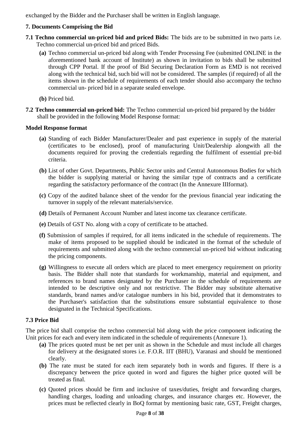exchanged by the Bidder and the Purchaser shall be written in English language.

### **7. Documents Comprising the Bid**

- **7.1 Techno commercial un-priced bid and priced Bids:** The bids are to be submitted in two parts i.e. Techno commercial un-priced bid and priced Bids.
	- **(a)** Techno commercial un-priced bid along with Tender Processing Fee (submitted ONLINE in the aforementioned bank account of Institute) as shown in invitation to bids shall be submitted through CPP Portal. If the proof of Bid Securing Declaration Form as EMD is not received along with the technical bid, such bid will not be considered. The samples (if required) of all the items shown in the schedule of requirements of each tender should also accompany the techno commercial un- priced bid in a separate sealed envelope.
	- **(b)** Priced bid.
- **7.2 Techno commercial un-priced bid:** The Techno commercial un-priced bid prepared by the bidder shall be provided in the following Model Response format:

#### **Model Response format**

- **(a)** Standing of each Bidder Manufacturer/Dealer and past experience in supply of the material (certificates to be enclosed), proof of manufacturing Unit/Dealership alongwith all the documents required for proving the credentials regarding the fulfilment of essential pre-bid criteria.
- **(b)** List of other Govt. Departments, Public Sector units and Central Autonomous Bodies for which the bidder is supplying material or having the similar type of contracts and a certificate regarding the satisfactory performance of the contract (In the Annexure IIIformat).
- **(c)** Copy of the audited balance sheet of the vendor for the previous financial year indicating the turnover in supply of the relevant materials/service.
- **(d)** Details of Permanent Account Number and latest income tax clearance certificate.
- **(e)** Details of GST No. along with a copy of certificate to be attached.
- **(f)** Submission of samples if required, for all items indicated in the schedule of requirements. The make of items proposed to be supplied should be indicated in the format of the schedule of requirements and submitted along with the techno commercial un-priced bid without indicating the pricing components.
- **(g)** Willingness to execute all orders which are placed to meet emergency requirement on priority basis. The Bidder shall note that standards for workmanship, material and equipment, and references to brand names designated by the Purchaser in the schedule of requirements are intended to be descriptive only and not restrictive. The Bidder may substitute alternative standards, brand names and/or catalogue numbers in his bid, provided that it demonstrates to the Purchaser's satisfaction that the substitutions ensure substantial equivalence to those designated in the Technical Specifications.

#### **7.3 Price Bid**

The price bid shall comprise the techno commercial bid along with the price component indicating the Unit prices for each and every item indicated in the schedule of requirements (Annexure 1).

- **(a)** The prices quoted must be net per unit as shown in the Schedule and must include all charges for delivery at the designated stores i.e. F.O.R. IIT (BHU), Varanasi and should be mentioned clearly.
- **(b)** The rate must be stated for each item separately both in words and figures. If there is a discrepancy between the price quoted in word and figures the higher price quoted will be treated as final.
- **(c)** Quoted prices should be firm and inclusive of taxes/duties, freight and forwarding charges, handling charges, loading and unloading charges, and insurance charges etc. However, the prices must be reflected clearly in BoQ format by mentioning basic rate, GST, Freight charges,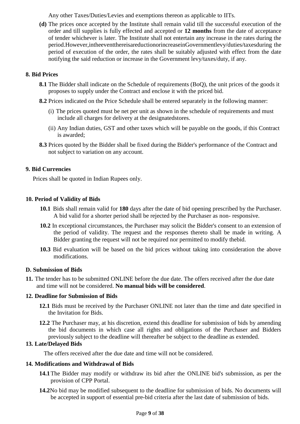Any other Taxes/Duties/Levies and exemptions thereon as applicable to IITs.

**(d)** The prices once accepted by the Institute shall remain valid till the successful execution of the order and till supplies is fully effected and accepted or **12 months** from the date of acceptance of tender whichever is later. The Institute shall not entertain any increase in the rates during the period.However,intheeventthereisareductionorincreaseinGovernmentlevy/duties/taxesduring the period of execution of the order, the rates shall be suitably adjusted with effect from the date notifying the said reduction or increase in the Government levy/taxes/duty, if any.

#### **8. Bid Prices**

- **8.1** The Bidder shall indicate on the Schedule of requirements (BoQ), the unit prices of the goods it proposes to supply under the Contract and enclose it with the priced bid.
- **8.2** Prices indicated on the Price Schedule shall be entered separately in the following manner:
	- (i) The prices quoted must be net per unit as shown in the schedule of requirements and must include all charges for delivery at the designatedstores.
	- (ii) Any Indian duties, GST and other taxes which will be payable on the goods, if this Contract is awarded;
- **8.3** Prices quoted by the Bidder shall be fixed during the Bidder's performance of the Contract and not subject to variation on any account.

#### **9. Bid Currencies**

Prices shall be quoted in Indian Rupees only.

#### **10. Period of Validity of Bids**

- **10.1** Bids shall remain valid for **180** days after the date of bid opening prescribed by the Purchaser. A bid valid for a shorter period shall be rejected by the Purchaser as non- responsive.
- **10.2** In exceptional circumstances, the Purchaser may solicit the Bidder's consent to an extension of the period of validity. The request and the responses thereto shall be made in writing. A Bidder granting the request will not be required nor permitted to modify thebid.
- **10.3** Bid evaluation will be based on the bid prices without taking into consideration the above modifications.

#### **D. Submission of Bids**

**11.** The tender has to be submitted ONLINE before the due date. The offers received after the due date and time will not be considered. **No manual bids will be considered**.

#### **12. Deadline for Submission of Bids**

- **12.1** Bids must be received by the Purchaser ONLINE not later than the time and date specified in the Invitation for Bids.
- **12.2** The Purchaser may, at his discretion, extend this deadline for submission of bids by amending the bid documents in which case all rights and obligations of the Purchaser and Bidders previously subject to the deadline will thereafter be subject to the deadline as extended.

#### **13. Late/Delayed Bids**

The offers received after the due date and time will not be considered.

#### **14. Modifications and Withdrawal of Bids**

- **14.1**The Bidder may modify or withdraw its bid after the ONLINE bid's submission, as per the provision of CPP Portal.
- **14.2**No bid may be modified subsequent to the deadline for submission of bids. No documents will be accepted in support of essential pre-bid criteria after the last date of submission of bids.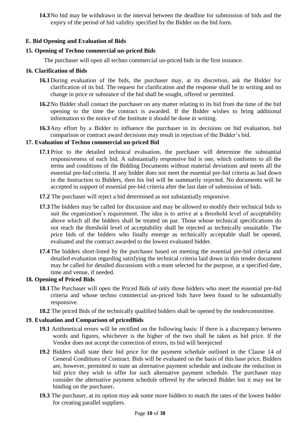**14.3**No bid may be withdrawn in the interval between the deadline for submission of bids and the expiry of the period of bid validity specified by the Bidder on the bid form.

#### **E. Bid Opening and Evaluation of Bids**

#### **15. Opening of Techno commercial un-priced Bids**

The purchaser will open all techno commercial un-priced bids in the first instance.

#### **16. Clarification of Bids**

- **16.1**During evaluation of the bids, the purchaser may, at its discretion, ask the Bidder for clarification of its bid. The request for clarification and the response shall be in writing and no change in price or substance of the bid shall be sought, offered or permitted.
- **16.2**No Bidder shall contact the purchaser on any matter relating to its bid from the time of the bid opening to the time the contract is awarded. If the Bidder wishes to bring additional information to the notice of the Institute it should be done in writing.
- **16.3**Any effort by a Bidder to influence the purchaser in its decisions on bid evaluation, bid comparison or contract award decisions may result in rejection of the Bidder"s bid.

# **17. Evaluation of Techno commercial un-priced Bid**

- **17.1** Prior to the detailed technical evaluation, the purchaser will determine the substantial responsiveness of each bid. A substantially responsive bid is one, which conforms to all the terms and conditions of the Bidding Documents without material deviations and meets all the essential pre-bid criteria. If any bidder does not meet the essential pre-bid criteria as laid down in the Instruction to Bidders, then his bid will be summarily rejected. No documents will be accepted in support of essential pre-bid criteria after the last date of submission of bids.
- **17.2** The purchaser will reject a bid determined as not substantially responsive.
- **17.3**The bidders may be called for discussion and may be allowed to modify their technical bids to suit the organization's requirement. The idea is to arrive at a threshold level of acceptability above which all the bidders shall be treated on par. Those whose technical specifications do not reach the threshold level of acceptability shall be rejected as technically unsuitable. The price bids of the bidders who finally emerge as technically acceptable shall be opened, evaluated and the contract awarded to the lowest evaluated bidder.
- **17.4**The bidders short-listed by the purchaser based on meeting the essential pre-bid criteria and detailed evaluation regarding satisfying the technical criteria laid down in this tender document may be called for detailed discussions with a team selected for the purpose, at a specified date, time and venue, if needed.

### **18. Opening of Priced Bids**

- **18.1**The Purchaser will open the Priced Bids of only those bidders who meet the essential pre-bid criteria and whose techno commercial un-priced bids have been found to be substantially responsive.
- **18.2** The priced Bids of the technically qualified bidders shall be opened by the tendercommittee.

#### **19. Evaluation and Comparison of pricedBids**

- **19.1** Arithmetical errors will be rectified on the following basis: If there is a discrepancy between words and figures, whichever is the higher of the two shall be taken as bid price. If the Vendor does not accept the correction of errors, its bid will berejected
- **19.2** Bidders shall state their bid price for the payment schedule outlined in the Clause 14 of General Conditions of Contract. Bids will be evaluated on the basis of this base price**.** Bidders are, however, permitted to state an alternative payment schedule and indicate the reduction in bid price they wish to offer for such alternative payment schedule. The purchaser may consider the alternative payment schedule offered by the selected Bidder but it may not be binding on the purchaser**.**
- **19.3** The purchaser, at its option may ask some more bidders to match the rates of the lowest bidder for creating parallel suppliers.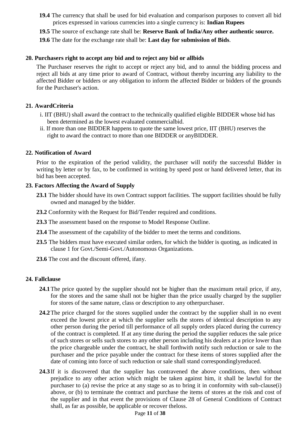- **19.4** The currency that shall be used for bid evaluation and comparison purposes to convert all bid prices expressed in various currencies into a single currency is: **Indian Rupees**
- **19.5** The source of exchange rate shall be: **Reserve Bank of India/Any other authentic source.**
- **19.6** The date for the exchange rate shall be: **Last day for submission of Bids**.

#### **20. Purchasers right to accept any bid and to reject any bid or allbids**

The Purchaser reserves the right to accept or reject any bid, and to annul the bidding process and reject all bids at any time prior to award of Contract, without thereby incurring any liability to the affected Bidder or bidders or any obligation to inform the affected Bidder or bidders of the grounds for the Purchaser's action.

#### **21. AwardCriteria**

- i. IIT (BHU) shall award the contract to the technically qualified eligible BIDDER whose bid has been determined as the lowest evaluated commercialbid.
- ii. If more than one BIDDER happens to quote the same lowest price, IIT (BHU) reserves the right to award the contract to more than one BIDDER or anyBIDDER.

#### **22. Notification of Award**

Prior to the expiration of the period validity, the purchaser will notify the successful Bidder in writing by letter or by fax, to be confirmed in writing by speed post or hand delivered letter, that its bid has been accepted.

#### **23. Factors Affecting the Award of Supply**

- 23.1 The bidder should have its own Contract support facilities. The support facilities should be fully owned and managed by the bidder.
- **23.2** Conformity with the Request for Bid/Tender required and conditions.
- **23.3** The assessment based on the response to Model Response Outline.
- **23.4** The assessment of the capability of the bidder to meet the terms and conditions.
- **23.5** The bidders must have executed similar orders, for which the bidder is quoting, as indicated in clause 1 for Govt./Semi-Govt./Autonomous Organizations.
- **23.6** The cost and the discount offered, ifany.

#### **24. Fallclause**

- **24.1**The price quoted by the supplier should not be higher than the maximum retail price, if any, for the stores and the same shall not be higher than the price usually charged by the supplier for stores of the same nature, class or description to any otherpurchaser.
- **24.2**The price charged for the stores supplied under the contract by the supplier shall in no event exceed the lowest price at which the supplier sells the stores of identical description to any other person during the period till performance of all supply orders placed during the currency of the contract is completed. If at any time during the period the supplier reduces the sale price of such stores or sells such stores to any other person including his dealers at a price lower than the price chargeable under the contract, he shall forthwith notify such reduction or sale to the purchaser and the price payable under the contract for these items of stores supplied after the date of coming into force of such reduction or sale shall stand correspondinglyreduced.
- **24.3** If it is discovered that the supplier has contravened the above conditions, then without prejudice to any other action which might be taken against him, it shall be lawful for the purchaser to (a) revise the price at any stage so as to bring it in conformity with sub-clause(i) above, or (b) to terminate the contract and purchase the items of stores at the risk and cost of the supplier and in that event the provisions of Clause 28 of General Conditions of Contract shall, as far as possible, be applicable or recover theloss.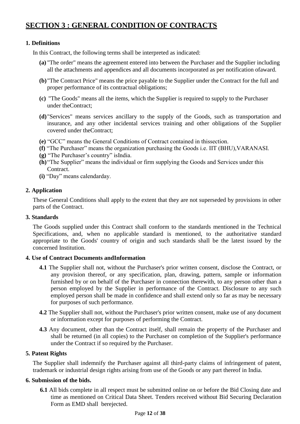# **SECTION 3 : GENERAL CONDITION OF CONTRACTS**

#### **1. Definitions**

In this Contract, the following terms shall be interpreted as indicated:

- **(a)** "The order" means the agreement entered into between the Purchaser and the Supplier including all the attachments and appendices and all documents incorporated as per notification ofaward.
- **(b)**"The Contract Price" means the price payable to the Supplier under the Contract for the full and proper performance of its contractual obligations;
- **(c)** "The Goods" means all the items, which the Supplier is required to supply to the Purchaser under theContract;
- **(d)**"Services" means services ancillary to the supply of the Goods, such as transportation and insurance, and any other incidental services training and other obligations of the Supplier covered under theContract;
- **(e)** "GCC" means the General Conditions of Contract contained in thissection.
- **(f)** "The Purchaser" means the organization purchasing the Goods i.e. IIT (BHU),VARANASI.
- **(g)** "The Purchaser"s country" isIndia.
- **(h)**"The Supplier" means the individual or firm supplying the Goods and Services under this Contract.
- **(i)** "Day" means calendarday.

#### **2. Application**

These General Conditions shall apply to the extent that they are not superseded by provisions in other parts of the Contract.

#### **3. Standards**

The Goods supplied under this Contract shall conform to the standards mentioned in the Technical Specifications, and, when no applicable standard is mentioned, to the authoritative standard appropriate to the Goods' country of origin and such standards shall be the latest issued by the concerned Institution.

#### **4. Use of Contract Documents andInformation**

- **4.1** The Supplier shall not, without the Purchaser's prior written consent, disclose the Contract, or any provision thereof, or any specification, plan, drawing, pattern, sample or information furnished by or on behalf of the Purchaser in connection therewith, to any person other than a person employed by the Supplier in performance of the Contract. Disclosure to any such employed person shall be made in confidence and shall extend only so far as may be necessary for purposes of such performance.
- **4.2** The Supplier shall not, without the Purchaser's prior written consent, make use of any document or information except for purposes of performing the Contract.
- **4.3** Any document, other than the Contract itself, shall remain the property of the Purchaser and shall be returned (in all copies) to the Purchaser on completion of the Supplier's performance under the Contract if so required by the Purchaser.

#### **5. Patent Rights**

The Supplier shall indemnify the Purchaser against all third-party claims of infringement of patent, trademark or industrial design rights arising from use of the Goods or any part thereof in India.

#### **6. Submission of the bids.**

**6.1** All bids complete in all respect must be submitted online on or before the Bid Closing date and time as mentioned on Critical Data Sheet. Tenders received without Bid Securing Declaration Form as EMD shall berejected.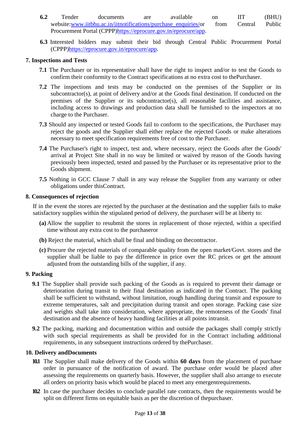- **6.2** Tender documents are available on IIT (BHU) website[:www.iitbhu.ac.in/iitnotifications/purchase\\_enquiries/o](http://www.iitbhu.ac.in/iitnotifications/purchase_enquiries/)r from Central Public Procurement Portal (CPPP[\)https://eprocure.gov.in/eprocure/app.](https://eprocure.gov.in/eprocure/app)
- **6.3** Interested bidders may submit their bid through Central Public Procurement Portal (CPPP[\)https://eprocure.gov.in/eprocure/app.](https://eprocure.gov.in/eprocure/app)

#### **7. Inspections and Tests**

- **7.1** The Purchaser or its representative shall have the right to inspect and/or to test the Goods to confirm their conformity to the Contract specifications at no extra cost to thePurchaser.
- **7.2** The inspections and tests may be conducted on the premises of the Supplier or its subcontractor(s), at point of delivery and/or at the Goods final destination. If conducted on the premises of the Supplier or its subcontractor(s), all reasonable facilities and assistance, including access to drawings and production data shall be furnished to the inspectors at no charge to the Purchaser.
- **7.3** Should any inspected or tested Goods fail to conform to the specifications, the Purchaser may reject the goods and the Supplier shall either replace the rejected Goods or make alterations necessary to meet specification requirements free of cost to the Purchaser.
- **7.4** The Purchaser's right to inspect, test and, where necessary, reject the Goods after the Goods' arrival at Project Site shall in no way be limited or waived by reason of the Goods having previously been inspected, tested and passed by the Purchaser or its representative prior to the Goods shipment.
- **7.5** Nothing in GCC Clause 7 shall in any way release the Supplier from any warranty or other obligations under thisContract.

#### **8. Consequences of rejection**

If in the event the stores are rejected by the purchaser at the destination and the supplier fails to make satisfactory supplies within the stipulated period of delivery, the purchaser will be at liberty to:

- **(a)** Allow the supplier to resubmit the stores in replacement of those rejected, within a specified time without any extra cost to the purchaseror
- **(b)** Reject the material, which shall be final and binding on thecontractor.
- **(c)** Procure the rejected materials of comparable quality from the open market/Govt. stores and the supplier shall be liable to pay the difference in price over the RC prices or get the amount adjusted from the outstanding bills of the supplier, if any.

#### **9. Packing**

- **9.1** The Supplier shall provide such packing of the Goods as is required to prevent their damage or deterioration during transit to their final destination as indicated in the Contract. The packing shall be sufficient to withstand, without limitation, rough handling during transit and exposure to extreme temperatures, salt and precipitation during transit and open storage. Packing case size and weights shall take into consideration, where appropriate, the remoteness of the Goods' final destination and the absence of heavy handling facilities at all points intransit.
- **9.2** The packing, marking and documentation within and outside the packages shall comply strictly with such special requirements as shall be provided for in the Contract including additional requirements, in any subsequent instructions ordered by thePurchaser.

#### **10. Delivery andDocuments**

- **10.1** The Supplier shall make delivery of the Goods within **60 days** from the placement of purchase order in pursuance of the notification of award. The purchase order would be placed after assessing the requirements on quarterly basis. However, the supplier shall also arrange to execute all orders on priority basis which would be placed to meet any emergentrequirements.
- **10.2** In case the purchaser decides to conclude parallel rate contracts, then the requirements would be split on different firms on equitable basis as per the discretion of thepurchaser.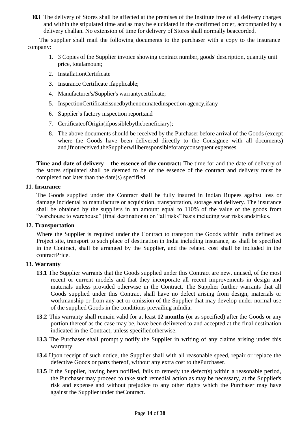**10.3** The delivery of Stores shall be affected at the premises of the Institute free of all delivery charges and within the stipulated time and as may be elucidated in the confirmed order, accompanied by a delivery challan. No extension of time for delivery of Stores shall normally beaccorded.

The supplier shall mail the following documents to the purchaser with a copy to the insurance company:

- 1. 3 Copies of the Supplier invoice showing contract number, goods' description, quantity unit price, totalamount;
- 2. InstallationCertificate
- 3. Insurance Certificate ifapplicable;
- 4. Manufacturer's/Supplier's warrantycertificate;
- 5. InspectionCertificateissuedbythenominatedinspection agency,ifany
- 6. Supplier"s factory inspection report;and
- 7. CertificateofOrigin(ifpossiblebythebeneficiary);
- 8. The above documents should be received by the Purchaser before arrival of the Goods (except where the Goods have been delivered directly to the Consignee with all documents) and,ifnotreceived,theSupplierwillberesponsibleforanyconsequent expenses.

**Time and date of delivery – the essence of the contract:** The time for and the date of delivery of the stores stipulated shall be deemed to be of the essence of the contract and delivery must be completed not later than the date(s) specified.

#### **11. Insurance**

The Goods supplied under the Contract shall be fully insured in Indian Rupees against loss or damage incidental to manufacture or acquisition, transportation, storage and delivery. The insurance shall be obtained by the suppliers in an amount equal to 110% of the value of the goods from "warehouse to warehouse" (final destinations) on "all risks" basis including war risks andstrikes.

#### **12. Transportation**

Where the Supplier is required under the Contract to transport the Goods within India defined as Project site, transport to such place of destination in India including insurance, as shall be specified in the Contract, shall be arranged by the Supplier, and the related cost shall be included in the contractPrice.

#### **13. Warranty**

- **13.1** The Supplier warrants that the Goods supplied under this Contract are new, unused, of the most recent or current models and that they incorporate all recent improvements in design and materials unless provided otherwise in the Contract. The Supplier further warrants that all Goods supplied under this Contract shall have no defect arising from design, materials or workmanship or from any act or omission of the Supplier that may develop under normal use of the supplied Goods in the conditions prevailing inIndia.
- **13.2** This warranty shall remain valid for at least **12 months** (or as specified) after the Goods or any portion thereof as the case may be, have been delivered to and accepted at the final destination indicated in the Contract, unless specifiedotherwise.
- **13.3** The Purchaser shall promptly notify the Supplier in writing of any claims arising under this warranty.
- **13.4** Upon receipt of such notice, the Supplier shall with all reasonable speed, repair or replace the defective Goods or parts thereof, without any extra cost to thePurchaser.
- **13.5** If the Supplier, having been notified, fails to remedy the defect(s) within a reasonable period, the Purchaser may proceed to take such remedial action as may be necessary, at the Supplier's risk and expense and without prejudice to any other rights which the Purchaser may have against the Supplier under theContract.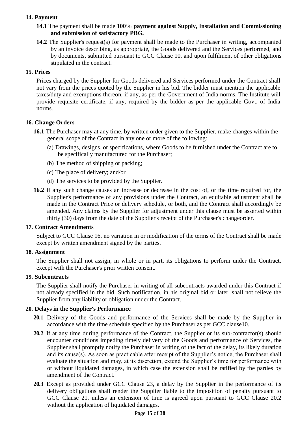### **14. Payment**

- **14.1** The payment shall be made **100% payment against Supply, Installation and Commissioning and submission of satisfactory PBG.**
- **14.2** The Supplier's request(s) for payment shall be made to the Purchaser in writing, accompanied by an invoice describing, as appropriate, the Goods delivered and the Services performed, and by documents, submitted pursuant to GCC Clause 10, and upon fulfilment of other obligations stipulated in the contract.

#### **15. Prices**

Prices charged by the Supplier for Goods delivered and Services performed under the Contract shall not vary from the prices quoted by the Supplier in his bid. The bidder must mention the applicable taxes/duty and exemptions thereon, if any, as per the Government of India norms. The Institute will provide requisite certificate, if any, required by the bidder as per the applicable Govt. of India norms.

#### **16. Change Orders**

- **16.1** The Purchaser may at any time, by written order given to the Supplier, make changes within the general scope of the Contract in any one or more of the following:
	- (a) Drawings, designs, or specifications, where Goods to be furnished under the Contract are to be specifically manufactured for the Purchaser;
	- (b) The method of shipping or packing;
	- (c) The place of delivery; and/or
	- (d) The services to be provided by the Supplier.
- **16.2** If any such change causes an increase or decrease in the cost of, or the time required for, the Supplier's performance of any provisions under the Contract, an equitable adjustment shall be made in the Contract Price or delivery schedule, or both, and the Contract shall accordingly be amended. Any claims by the Supplier for adjustment under this clause must be asserted within thirty (30) days from the date of the Supplier's receipt of the Purchaser's changeorder.

#### **17. Contract Amendments**

Subject to GCC Clause 16, no variation in or modification of the terms of the Contract shall be made except by written amendment signed by the parties.

#### **18. Assignment**

The Supplier shall not assign, in whole or in part, its obligations to perform under the Contract, except with the Purchaser's prior written consent.

#### **19. Subcontracts**

The Supplier shall notify the Purchaser in writing of all subcontracts awarded under this Contract if not already specified in the bid. Such notification, in his original bid or later, shall not relieve the Supplier from any liability or obligation under the Contract.

#### **20. Delays in the Supplier's Performance**

- 20.1 Delivery of the Goods and performance of the Services shall be made by the Supplier in accordance with the time schedule specified by the Purchaser as per GCC clause10.
- **20.2** If at any time during performance of the Contract, the Supplier or its sub-contractor(s) should encounter conditions impeding timely delivery of the Goods and performance of Services, the Supplier shall promptly notify the Purchaser in writing of the fact of the delay, its likely duration and its cause(s). As soon as practicable after receipt of the Supplier's notice, the Purchaser shall evaluate the situation and may, at its discretion, extend the Supplier"s time for performance with or without liquidated damages, in which case the extension shall be ratified by the parties by amendment of the Contract.
- **20.3** Except as provided under GCC Clause 23, a delay by the Supplier in the performance of its delivery obligations shall render the Supplier liable to the imposition of penalty pursuant to GCC Clause 21, unless an extension of time is agreed upon pursuant to GCC Clause 20.2 without the application of liquidated damages.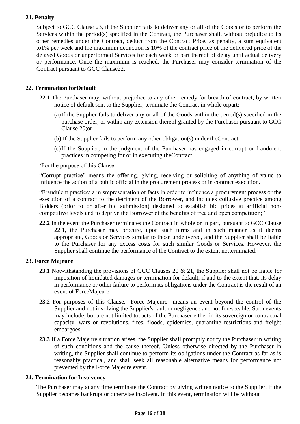## **21. Penalty**

Subject to GCC Clause 23, if the Supplier fails to deliver any or all of the Goods or to perform the Services within the period(s) specified in the Contract, the Purchaser shall, without prejudice to its other remedies under the Contract, deduct from the Contract Price, as penalty, a sum equivalent to1% per week and the maximum deduction is 10% of the contract price of the delivered price of the delayed Goods or unperformed Services for each week or part thereof of delay until actual delivery or performance. Once the maximum is reached, the Purchaser may consider termination of the Contract pursuant to GCC Clause22.

#### **22. Termination forDefault**

- **22.1** The Purchaser may, without prejudice to any other remedy for breach of contract, by written notice of default sent to the Supplier, terminate the Contract in whole orpart:
	- (a)If the Supplier fails to deliver any or all of the Goods within the period(s) specified in the purchase order, or within any extension thereof granted by the Purchaser pursuant to GCC Clause 20;or
	- (b) If the Supplier fails to perform any other obligation(s) under theContract.
	- (c)If the Supplier, in the judgment of the Purchaser has engaged in corrupt or fraudulent practices in competing for or in executing theContract.

"For the purpose of this Clause:

"Corrupt practice" means the offering, giving, receiving or soliciting of anything of value to influence the action of a public official in the procurement process or in contract execution.

"Fraudulent practice: a misrepresentation of facts in order to influence a procurement process or the execution of a contract to the detriment of the Borrower, and includes collusive practice among Bidders (prior to or after bid submission) designed to establish bid prices at artificial noncompetitive levels and to deprive the Borrower of the benefits of free and open competition;"

**22.2** In the event the Purchaser terminates the Contract in whole or in part, pursuant to GCC Clause 22.1, the Purchaser may procure, upon such terms and in such manner as it deems appropriate, Goods or Services similar to those undelivered, and the Supplier shall be liable to the Purchaser for any excess costs for such similar Goods or Services. However, the Supplier shall continue the performance of the Contract to the extent notterminated.

#### **23. Force Majeure**

- 23.1 Notwithstanding the provisions of GCC Clauses 20 & 21, the Supplier shall not be liable for imposition of liquidated damages or termination for default, if and to the extent that, its delay in performance or other failure to perform its obligations under the Contract is the result of an event of ForceMajeure.
- **23.2** For purposes of this Clause, "Force Majeure" means an event beyond the control of the Supplier and not involving the Supplier's fault or negligence and not foreseeable. Such events may include, but are not limited to, acts of the Purchaser either in its sovereign or contractual capacity, wars or revolutions, fires, floods, epidemics, quarantine restrictions and freight embargoes.
- **23.3** If a Force Majeure situation arises, the Supplier shall promptly notify the Purchaser in writing of such conditions and the cause thereof. Unless otherwise directed by the Purchaser in writing, the Supplier shall continue to perform its obligations under the Contract as far as is reasonably practical, and shall seek all reasonable alternative means for performance not prevented by the Force Majeure event.

#### **24. Termination for Insolvency**

The Purchaser may at any time terminate the Contract by giving written notice to the Supplier, if the Supplier becomes bankrupt or otherwise insolvent. In this event, termination will be without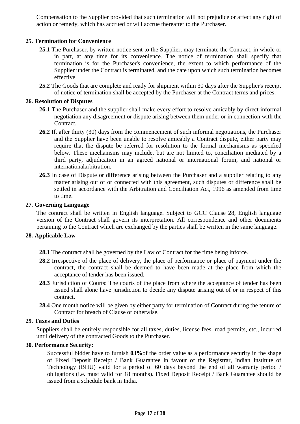Compensation to the Supplier provided that such termination will not prejudice or affect any right of action or remedy, which has accrued or will accrue thereafter to the Purchaser.

#### **25. Termination for Convenience**

- **25.1** The Purchaser, by written notice sent to the Supplier, may terminate the Contract, in whole or in part, at any time for its convenience. The notice of termination shall specify that termination is for the Purchaser's convenience, the extent to which performance of the Supplier under the Contract is terminated, and the date upon which such termination becomes effective.
- **25.2** The Goods that are complete and ready for shipment within 30 days after the Supplier's receipt of notice of termination shall be accepted by the Purchaser at the Contract terms and prices.

#### **26. Resolution of Disputes**

- **26.1** The Purchaser and the supplier shall make every effort to resolve amicably by direct informal negotiation any disagreement or dispute arising between them under or in connection with the Contract.
- **26.2** If, after thirty (30) days from the commencement of such informal negotiations, the Purchaser and the Supplier have been unable to resolve amicably a Contract dispute, either party may require that the dispute be referred for resolution to the formal mechanisms as specified below. These mechanisms may include, but are not limited to, conciliation mediated by a third party, adjudication in an agreed national or international forum, and national or internationalarbitration.
- **26.3** In case of Dispute or difference arising between the Purchaser and a supplier relating to any matter arising out of or connected with this agreement, such disputes or difference shall be settled in accordance with the Arbitration and Conciliation Act, 1996 as amended from time to time.

#### **27. Governing Language**

The contract shall be written in English language. Subject to GCC Clause 28, English language version of the Contract shall govern its interpretation. All correspondence and other documents pertaining to the Contract which are exchanged by the parties shall be written in the same language.

#### **28. Applicable Law**

- **28.1** The contract shall be governed by the Law of Contract for the time being inforce.
- **28.2** Irrespective of the place of delivery, the place of performance or place of payment under the contract, the contract shall be deemed to have been made at the place from which the acceptance of tender has been issued.
- **28.3** Jurisdiction of Courts: The courts of the place from where the acceptance of tender has been issued shall alone have jurisdiction to decide any dispute arising out of or in respect of this contract.
- **28.4** One month notice will be given by either party for termination of Contract during the tenure of Contract for breach of Clause or otherwise.

#### **29. Taxes and Duties**

Suppliers shall be entirely responsible for all taxes, duties, license fees, road permits, etc., incurred until delivery of the contracted Goods to the Purchaser.

#### **30. Performance Security:**

Successful bidder have to furnish **03%**of the order value as a performance security in the shape of Fixed Deposit Receipt / Bank Guarantee in favour of the Registrar, Indian Institute of Technology (BHU) valid for a period of 60 days beyond the end of all warranty period / obligations (i.e. must valid for 18 months). Fixed Deposit Receipt / Bank Guarantee should be issued from a schedule bank in India.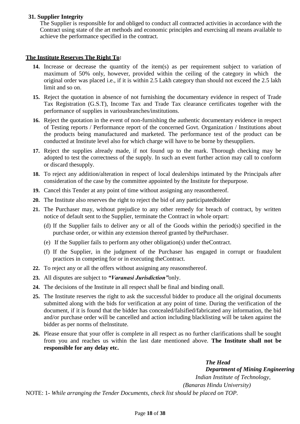#### **31. Supplier Integrity**

The Supplier is responsible for and obliged to conduct all contracted activities in accordance with the Contract using state of the art methods and economic principles and exercising all means available to achieve the performance specified in the contract.

#### **The Institute Reserves The Right To:**

- **14.** Increase or decrease the quantity of the item(s) as per requirement subject to variation of maximum of 50% only, however, provided within the ceiling of the category in which the original order was placed i.e., if it is within 2.5 Lakh category than should not exceed the 2.5 lakh limit and so on.
- **15.** Reject the quotation in absence of not furnishing the documentary evidence in respect of Trade Tax Registration (G.S.T), Income Tax and Trade Tax clearance certificates together with the performance of supplies in variousbranches/institutions.
- **16.** Reject the quotation in the event of non-furnishing the authentic documentary evidence in respect of Testing reports / Performance report of the concerned Govt. Organization / Institutions about the products being manufactured and marketed. The performance test of the product can be conducted at Institute level also for which charge will have to be borne by thesuppliers.
- **17.** Reject the supplies already made, if not found up to the mark. Thorough checking may be adopted to test the correctness of the supply. In such an event further action may call to conform or discard thesupply.
- **18.** To reject any addition/alteration in respect of local dealerships intimated by the Principals after consideration of the case by the committee appointed by the Institute for thepurpose.
- **19.** Cancel this Tender at any point of time without assigning any reasonthereof.
- **20.** The Institute also reserves the right to reject the bid of any participatedbidder
- **21.** The Purchaser may, without prejudice to any other remedy for breach of contract, by written notice of default sent to the Supplier, terminate the Contract in whole orpart:
	- (d) If the Supplier fails to deliver any or all of the Goods within the period(s) specified in the purchase order, or within any extension thereof granted by thePurchaser.
	- (e) If the Supplier fails to perform any other obligation(s) under theContract.
	- (f) If the Supplier, in the judgment of the Purchaser has engaged in corrupt or fraudulent practices in competing for or in executing theContract.
- **22.** To reject any or all the offers without assigning any reasonsthereof.
- **23.** All disputes are subject to *"Varanasi Jurisdiction"*only.
- **24.** The decisions of the Institute in all respect shall be final and binding onall.
- **25.** The Institute reserves the right to ask the successful bidder to produce all the original documents submitted along with the bids for verification at any point of time. During the verification of the document, if it is found that the bidder has concealed/falsified/fabricated any information, the bid and/or purchase order will be cancelled and action including blacklisting will be taken against the bidder as per norms of theInstitute.
- **26.** Please ensure that your offer is complete in all respect as no further clarifications shall be sought from you and reaches us within the last date mentioned above. **The Institute shall not be responsible for any delay etc.**

*The Head Department of Mining Engineering Indian Institute of Technology, (Banaras Hindu University)*

NOTE: 1- *While arranging the Tender Documents, check list should be placed on TOP.*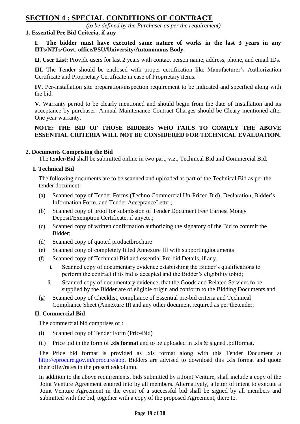# **SECTION 4 : SPECIAL CONDITIONS OF CONTRACT**

*(to be defined by the Purchaser as per the requirement)*

#### **1. Essential Pre Bid Criteria, if any**

**I. The bidder must have executed same nature of works in the last 3 years in any IITs/NITs/Govt. office/PSU/University/Autonomous Body.** 

**II. User List:** Provide users for last 2 years with contact person name, address, phone, and email IDs.

**III.** The Tender should be enclosed with proper certification like Manufacturer's Authorization Certificate and Proprietary Certificate in case of Proprietary items.

**IV.** Per-installation site preparation/inspection requirement to be indicated and specified along with the bid.

**V.** Warranty period to be clearly mentioned and should begin from the date of Installation and its acceptance by purchaser. Annual Maintenance Contract Charges should be Cleary mentioned after One year warranty.

#### **NOTE: THE BID OF THOSE BIDDERS WHO FAILS TO COMPLY THE ABOVE ESSENTIAL CRITERIA WILL NOT BE CONSIDERED FOR TECHNICAL EVALUATION.**

#### **2. Documents Comprising the Bid**

The tender/Bid shall be submitted online in two part, viz., Technical Bid and Commercial Bid.

#### **I. Technical Bid**

The following documents are to be scanned and uploaded as part of the Technical Bid as per the tender document:

- (a) Scanned copy of Tender Forms (Techno Commercial Un-Priced Bid), Declaration, Bidder"s Information Form, and Tender AcceptanceLetter;
- (b) Scanned copy of proof for submission of Tender Document Fee/ Earnest Money Deposit/Exemption Certificate, if anyetc.;
- (c) Scanned copy of written confirmation authorizing the signatory of the Bid to commit the Bidder;
- (d) Scanned copy of quoted productbrochure
- (e) Scanned copy of completely filled Annexure III with supportingdocuments
- (f) Scanned copy of Technical Bid and essential Pre-bid Details, if any.
	- i. Scanned copy of documentary evidence establishing the Bidder"s qualifications to perform the contract if its bid is accepted and the Bidder"s eligibility tobid;
	- ii. Scanned copy of documentary evidence, that the Goods and Related Services to be supplied by the Bidder are of eligible origin and conform to the Bidding Documents,and
- (g) Scanned copy of Checklist, compliance of Essential pre-bid criteria and Technical Compliance Sheet (Annexure II) and any other document required as per thetender;

#### **II. Commercial Bid**

The commercial bid comprises of :

- (i) Scanned copy of Tender Form (PriceBid)
- (ii) Price bid in the form of **.xls format** and to be uploaded in .xls & signed .pdfformat.

The Price bid format is provided as .xls format along with this Tender Document at [http://eprocure.gov.in/eprocure/app.](http://eprocure.gov.in/eprocure/app) Bidders are advised to download this .xls format and quote their offer/rates in the prescribedcolumn.

In addition to the above requirements, bids submitted by a Joint Venture, shall include a copy of the Joint Venture Agreement entered into by all members. Alternatively, a letter of intent to execute a Joint Venture Agreement in the event of a successful bid shall be signed by all members and submitted with the bid, together with a copy of the proposed Agreement, there to.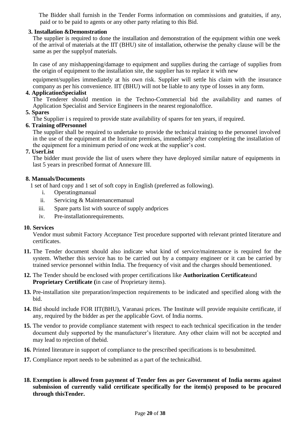The Bidder shall furnish in the Tender Forms information on commissions and gratuities, if any, paid or to be paid to agents or any other party relating to this Bid.

#### **3. Installation &Demonstration**

The supplier is required to done the installation and demonstration of the equipment within one week of the arrival of materials at the IIT (BHU) site of installation, otherwise the penalty clause will be the same as per the supplyof materials.

In case of any mishappening/damage to equipment and supplies during the carriage of supplies from the origin of equipment to the installation site, the supplier has to replace it with new

equipment/supplies immediately at his own risk. Supplier will settle his claim with the insurance company as per his convenience. IIT (BHU) will not be liable to any type of losses in any form.

#### **4. ApplicationSpecialist**

The Tenderer should mention in the Techno-Commercial bid the availability and names of Application Specialist and Service Engineers in the nearest regionaloffice.

#### **5. Spares**

The Supplier i s required to provide state availability of spares for ten years, if required.

#### **6. Training ofPersonnel**

The supplier shall be required to undertake to provide the technical training to the personnel involved in the use of the equipment at the Institute premises, immediately after completing the installation of the equipment for a minimum period of one week at the supplier"s cost.

#### **7. UserList**

The bidder must provide the list of users where they have deployed similar nature of equipments in last 5 years in prescribed format of Annexure III.

#### **8. Manuals/Documents**

1 set of hard copy and 1 set of soft copy in English (preferred as following).

- i. Operatingmanual
- ii. Servicing & Maintenancemanual
- iii. Spare parts list with source of supply andprices
- iv. Pre-installationrequirements.

#### **10. Services**

Vendor must submit Factory Acceptance Test procedure supported with relevant printed literature and certificates.

- **11.** The Tender document should also indicate what kind of service/maintenance is required for the system. Whether this service has to be carried out by a company engineer or it can be carried by trained service personnel within India. The frequency of visit and the charges should bementioned.
- **12.** The Tender should be enclosed with proper certifications like **Authorization Certificate**and **Proprietary Certificate (**in case of Proprietary items).
- **13.** Pre-installation site preparation/inspection requirements to be indicated and specified along with the bid.
- **14.** Bid should include FOR IIT(BHU), Varanasi prices. The Institute will provide requisite certificate, if any, required by the bidder as per the applicable Govt. of India norms.
- **15.** The vendor to provide compliance statement with respect to each technical specification in the tender document duly supported by the manufacturer's literature. Any other claim will not be accepted and may lead to rejection of thebid.
- **16.** Printed literature in support of compliance to the prescribed specifications is to besubmitted.
- **17.** Compliance report needs to be submitted as a part of the technicalbid.
- **18. Exemption is allowed from payment of Tender fees as per Government of India norms against submission of currently valid certificate specifically for the item(s) proposed to be procured through thisTender.**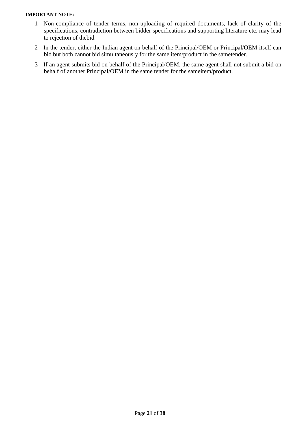#### **IMPORTANT NOTE:**

- 1. Non-compliance of tender terms, non-uploading of required documents, lack of clarity of the specifications, contradiction between bidder specifications and supporting literature etc. may lead to rejection of thebid.
- 2. In the tender, either the Indian agent on behalf of the Principal/OEM or Principal/OEM itself can bid but both cannot bid simultaneously for the same item/product in the sametender.
- 3. If an agent submits bid on behalf of the Principal/OEM, the same agent shall not submit a bid on behalf of another Principal/OEM in the same tender for the sameitem/product.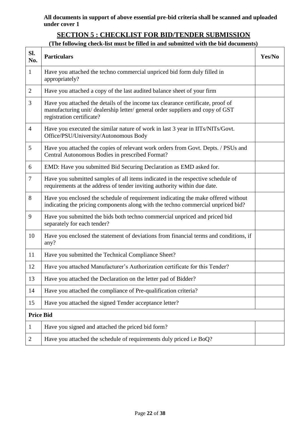**All documents in support of above essential pre-bid criteria shall be scanned and uploaded under cover 1**

# **SECTION 5 : CHECKLIST FOR BID/TENDER SUBMISSION**

# **(The following check-list must be filled in and submitted with the bid documents)**

| Sl.<br>No.       | <b>Particulars</b>                                                                                                                                                                           | Yes/No |
|------------------|----------------------------------------------------------------------------------------------------------------------------------------------------------------------------------------------|--------|
| $\mathbf{1}$     | Have you attached the techno commercial unpriced bid form duly filled in<br>appropriately?                                                                                                   |        |
| $\overline{2}$   | Have you attached a copy of the last audited balance sheet of your firm                                                                                                                      |        |
| 3                | Have you attached the details of the income tax clearance certificate, proof of<br>manufacturing unit/dealership letter/general order suppliers and copy of GST<br>registration certificate? |        |
| $\overline{4}$   | Have you executed the similar nature of work in last 3 year in IITs/NITs/Govt.<br>Office/PSU/University/Autonomous Body                                                                      |        |
| 5                | Have you attached the copies of relevant work orders from Govt. Depts. / PSUs and<br>Central Autonomous Bodies in prescribed Format?                                                         |        |
| 6                | EMD: Have you submitted Bid Securing Declaration as EMD asked for.                                                                                                                           |        |
| 7                | Have you submitted samples of all items indicated in the respective schedule of<br>requirements at the address of tender inviting authority within due date.                                 |        |
| 8                | Have you enclosed the schedule of requirement indicating the make offered without<br>indicating the pricing components along with the techno commercial unpriced bid?                        |        |
| 9                | Have you submitted the bids both techno commercial unpriced and priced bid<br>separately for each tender?                                                                                    |        |
| 10               | Have you enclosed the statement of deviations from financial terms and conditions, if<br>any?                                                                                                |        |
| 11               | Have you submitted the Technical Compliance Sheet?                                                                                                                                           |        |
| 12               | Have you attached Manufacturer's Authorization certificate for this Tender?                                                                                                                  |        |
| 13               | Have you attached the Declaration on the letter pad of Bidder?                                                                                                                               |        |
| 14               | Have you attached the compliance of Pre-qualification criteria?                                                                                                                              |        |
| 15               | Have you attached the signed Tender acceptance letter?                                                                                                                                       |        |
| <b>Price Bid</b> |                                                                                                                                                                                              |        |
| 1                | Have you signed and attached the priced bid form?                                                                                                                                            |        |
| $\overline{2}$   | Have you attached the schedule of requirements duly priced i.e BoQ?                                                                                                                          |        |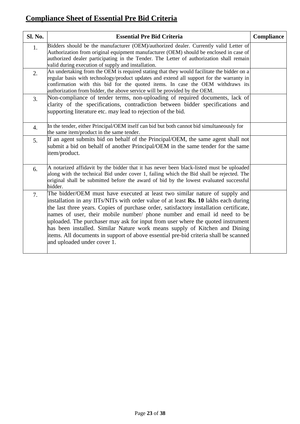# **Compliance Sheet of Essential Pre Bid Criteria**

| Sl. No. | <b>Essential Pre Bid Criteria</b>                                                                                                                                                                                                                                                                                                                                                                                                                                                                                                                                                                                                | Compliance |
|---------|----------------------------------------------------------------------------------------------------------------------------------------------------------------------------------------------------------------------------------------------------------------------------------------------------------------------------------------------------------------------------------------------------------------------------------------------------------------------------------------------------------------------------------------------------------------------------------------------------------------------------------|------------|
| 1.      | Bidders should be the manufacturer (OEM)/authorized dealer. Currently valid Letter of<br>Authorization from original equipment manufacturer (OEM) should be enclosed in case of<br>authorized dealer participating in the Tender. The Letter of authorization shall remain<br>valid during execution of supply and installation.                                                                                                                                                                                                                                                                                                 |            |
| 2.      | An undertaking from the OEM is required stating that they would facilitate the bidder on a<br>regular basis with technology/product updates and extend all support for the warranty in<br>confirmation with this bid for the quoted items. In case the OEM withdraws its<br>authorization from bidder, the above service will be provided by the OEM.                                                                                                                                                                                                                                                                            |            |
| 3.      | Non-compliance of tender terms, non-uploading of required documents, lack of<br>clarity of the specifications, contradiction between bidder specifications and<br>supporting literature etc. may lead to rejection of the bid.                                                                                                                                                                                                                                                                                                                                                                                                   |            |
| 4.      | In the tender, either Principal/OEM itself can bid but both cannot bid simultaneously for<br>the same item/product in the same tender.                                                                                                                                                                                                                                                                                                                                                                                                                                                                                           |            |
| 5.      | If an agent submits bid on behalf of the Principal/OEM, the same agent shall not<br>submit a bid on behalf of another Principal/OEM in the same tender for the same<br>item/product.                                                                                                                                                                                                                                                                                                                                                                                                                                             |            |
| 6.      | A notarized affidavit by the bidder that it has never been black-listed must be uploaded<br>along with the technical Bid under cover 1, failing which the Bid shall be rejected. The<br>original shall be submitted before the award of bid by the lowest evaluated successful<br>bidder.                                                                                                                                                                                                                                                                                                                                        |            |
| 7.      | The bidder/OEM must have executed at least two similar nature of supply and<br>installation in any IITs/NITs with order value of at least Rs. 10 lakhs each during<br>the last three years. Copies of purchase order, satisfactory installation certificate,<br>hames of user, their mobile number/ phone number and email id need to be<br>uploaded. The purchaser may ask for input from user where the quoted instrument<br>has been installed. Similar Nature work means supply of Kitchen and Dining<br>items. All documents in support of above essential pre-bid criteria shall be scanned<br>and uploaded under cover 1. |            |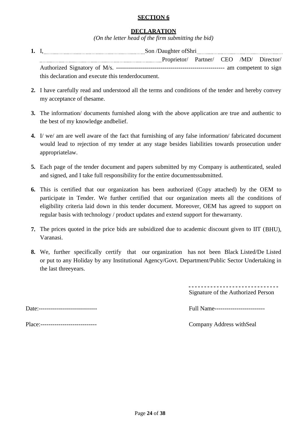#### **SECTION 6**

#### **DECLARATION**

*(On the letter head of the firm submitting the bid)*

- **1.** I, Son /Daughter ofShri Proprietor/ Partner/ CEO /MD/ Director/ Authorized Signatory of M/s. ------------------------------------------------------ am competent to sign this declaration and execute this tenderdocument.
- **2.** I have carefully read and understood all the terms and conditions of the tender and hereby convey my acceptance of thesame.
- **3.** The information/ documents furnished along with the above application are true and authentic to the best of my knowledge andbelief.
- **4.** I/ we/ am are well aware of the fact that furnishing of any false information/ fabricated document would lead to rejection of my tender at any stage besides liabilities towards prosecution under appropriatelaw.
- **5.** Each page of the tender document and papers submitted by my Company is authenticated, sealed and signed, and I take full responsibility for the entire documentssubmitted.
- **6.** This is certified that our organization has been authorized (Copy attached) by the OEM to participate in Tender. We further certified that our organization meets all the conditions of eligibility criteria laid down in this tender document. Moreover, OEM has agreed to support on regular basis with technology / product updates and extend support for thewarranty.
- **7.** The prices quoted in the price bids are subsidized due to academic discount given to IIT (BHU), Varanasi.
- **8.** We, further specifically certify that our organization has not been Black Listed/De Listed or put to any Holiday by any Institutional Agency/Govt. Department/Public Sector Undertaking in the last threeyears.

Signature of the Authorized Person

Date:----------------------------- Full Name-------------------------

Place:---------------------------- Company Address withSeal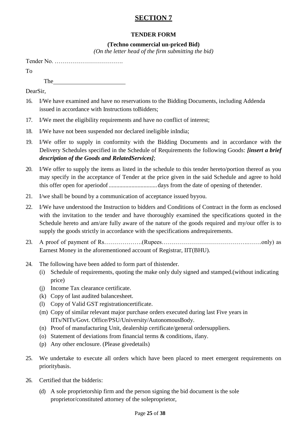# **SECTION 7**

# **TENDER FORM**

## **(Techno commercial un-priced Bid)**

*(On the letter head of the firm submitting the bid)*

Tender No. …………………………….

To

The state of the state of the state of the state of the state of the state of the state of the state of the state of the state of the state of the state of the state of the state of the state of the state of the state of t

DearSir,

- 16. I/We have examined and have no reservations to the Bidding Documents, including Addenda issued in accordance with Instructions toBidders;
- 17. I/We meet the eligibility requirements and have no conflict of interest;
- 18. I/We have not been suspended nor declared ineligible inIndia;
- 19. I/We offer to supply in conformity with the Bidding Documents and in accordance with the Delivery Schedules specified in the Schedule of Requirements the following Goods: *[insert a brief description of the Goods and RelatedServices]*;
- 20. I/We offer to supply the items as listed in the schedule to this tender hereto/portion thereof as you may specify in the acceptance of Tender at the price given in the said Schedule and agree to hold this offer open for aperiodof................................days from the date of opening of thetender.
- 21. I/we shall be bound by a communication of acceptance issued byyou.
- 22. I/We have understood the Instruction to bidders and Conditions of Contract in the form as enclosed with the invitation to the tender and have thoroughly examined the specifications quoted in the Schedule hereto and am/are fully aware of the nature of the goods required and my/our offer is to supply the goods strictly in accordance with the specifications andrequirements.
- 23. A proof of payment of Rs……………….(Rupees…………………………………….…….only) as Earnest Money in the aforementioned account of Registrar, IIT(BHU).
- 24. The following have been added to form part of thistender.
	- (i) Schedule of requirements, quoting the make only duly signed and stamped.(without indicating price)
	- (j) Income Tax clearance certificate.
	- (k) Copy of last audited balancesheet.
	- (l) Copy of Valid GST registrationcertificate.
	- (m) Copy of similar relevant major purchase orders executed during last Five years in IITs/NITs/Govt. Office/PSU/University/AutonomousBody.
	- (n) Proof of manufacturing Unit, dealership certificate/general ordersuppliers.
	- (o) Statement of deviations from financial terms & conditions, ifany.
	- (p) Any other enclosure. (Please givedetails)
- 25. We undertake to execute all orders which have been placed to meet emergent requirements on prioritybasis.
- 26. Certified that the bidderis:
	- (d) A sole proprietorship firm and the person signing the bid document is the sole proprietor/constituted attorney of the soleproprietor,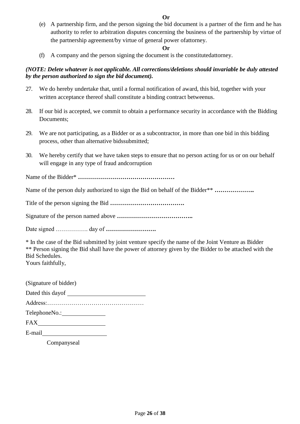(e) A partnership firm, and the person signing the bid document is a partner of the firm and he has authority to refer to arbitration disputes concerning the business of the partnership by virtue of the partnership agreement/by virtue of general power ofattorney.

#### **Or**

(f) A company and the person signing the document is the constitutedattorney.

#### *(NOTE: Delete whatever is not applicable. All corrections/deletions should invariable be duly attested by the person authorized to sign the bid document).*

- 27. We do hereby undertake that, until a formal notification of award, this bid, together with your written acceptance thereof shall constitute a binding contract betweenus.
- 28. If our bid is accepted, we commit to obtain a performance security in accordance with the Bidding Documents;
- 29. We are not participating, as a Bidder or as a subcontractor, in more than one bid in this bidding process, other than alternative bidssubmitted;
- 30. We hereby certify that we have taken steps to ensure that no person acting for us or on our behalf will engage in any type of fraud andcorruption

Name of the Bidder\* **…………………………………………**

Name of the person duly authorized to sign the Bid on behalf of the Bidder\*\* **………………..**

Title of the person signing the Bid **……………………………….**

Signature of the person named above **………………………………..**

Date signed ……………. day of **…………………….**

\* In the case of the Bid submitted by joint venture specify the name of the Joint Venture as Bidder \*\* Person signing the Bid shall have the power of attorney given by the Bidder to be attached with the Bid Schedules. Yours faithfully,

| (Signature of bidder)       |  |
|-----------------------------|--|
| Dated this day of           |  |
|                             |  |
| TelephoneNo.: New York 1999 |  |
| FAX.                        |  |
| E-mail                      |  |

Companyseal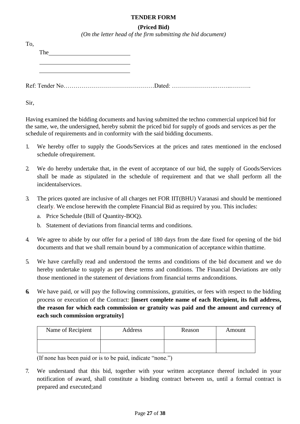#### **TENDER FORM**

#### **(Priced Bid)**

*(On the letter head of the firm submitting the bid document)*

| To.<br>The contract of the contract of the contract of the contract of the contract of the contract of the contract of the contract of the contract of the contract of the contract of the contract of the contract of the contract o |  |
|---------------------------------------------------------------------------------------------------------------------------------------------------------------------------------------------------------------------------------------|--|
|                                                                                                                                                                                                                                       |  |
|                                                                                                                                                                                                                                       |  |

Sir,

Having examined the bidding documents and having submitted the techno commercial unpriced bid for the same, we, the undersigned, hereby submit the priced bid for supply of goods and services as per the schedule of requirements and in conformity with the said bidding documents.

- 1. We hereby offer to supply the Goods/Services at the prices and rates mentioned in the enclosed schedule ofrequirement.
- 2. We do hereby undertake that, in the event of acceptance of our bid, the supply of Goods/Services shall be made as stipulated in the schedule of requirement and that we shall perform all the incidentalservices.
- 3. The prices quoted are inclusive of all charges net FOR IIT(BHU) Varanasi and should be mentioned clearly. We enclose herewith the complete Financial Bid as required by you. This includes:
	- a. Price Schedule (Bill of Quantity-BOQ).
	- b. Statement of deviations from financial terms and conditions.
- 4. We agree to abide by our offer for a period of 180 days from the date fixed for opening of the bid documents and that we shall remain bound by a communication of acceptance within thattime.
- 5. We have carefully read and understood the terms and conditions of the bid document and we do hereby undertake to supply as per these terms and conditions. The Financial Deviations are only those mentioned in the statement of deviations from financial terms andconditions.
- **6.** We have paid, or will pay the following commissions, gratuities, or fees with respect to the bidding process or execution of the Contract: **[insert complete name of each Recipient, its full address, the reason for which each commission or gratuity was paid and the amount and currency of each such commission orgratuity]**

| Name of Recipient | Address | Reason | Amount |
|-------------------|---------|--------|--------|
|                   |         |        |        |

(If none has been paid or is to be paid, indicate "none.")

7. We understand that this bid, together with your written acceptance thereof included in your notification of award, shall constitute a binding contract between us, until a formal contract is prepared and executed;and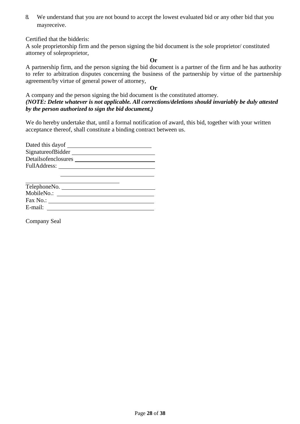8. We understand that you are not bound to accept the lowest evaluated bid or any other bid that you mayreceive.

Certified that the bidderis:

A sole proprietorship firm and the person signing the bid document is the sole proprietor/ constituted attorney of soleproprietor,

#### **Or**

A partnership firm, and the person signing the bid document is a partner of the firm and he has authority to refer to arbitration disputes concerning the business of the partnership by virtue of the partnership agreement/by virtue of general power of attorney,

#### **Or**

#### A company and the person signing the bid document is the constituted attorney. *(NOTE: Delete whatever is not applicable. All corrections/deletions should invariably be duly attested by the person authorized to sign the bid document.)*

We do hereby undertake that, until a formal notification of award, this bid, together with your written acceptance thereof, shall constitute a binding contract between us.

| Dated this day of   |  |
|---------------------|--|
| SignatureofBidder   |  |
| Detailsofenclosures |  |
| FullAddress:        |  |
|                     |  |

| TelephoneNo. |  |
|--------------|--|
| MobileNo.:   |  |
| Fax No.:     |  |
| E-mail:      |  |

Company Seal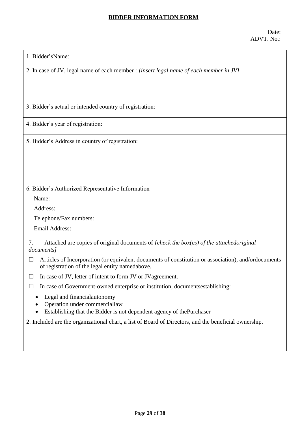#### **BIDDER INFORMATION FORM**

| 1. Bidder'sName: |  |
|------------------|--|
|------------------|--|

2. In case of JV, legal name of each member : *[insert legal name of each member in JV]*

3. Bidder"s actual or intended country of registration:

4. Bidder"s year of registration:

5. Bidder"s Address in country of registration:

6. Bidder"s Authorized Representative Information

Name:

Address:

Telephone/Fax numbers:

Email Address:

7. Attached are copies of original documents of *[check the box(es) of the attachedoriginal documents]*

- $\Box$  Articles of Incorporation (or equivalent documents of constitution or association), and/ordocuments of registration of the legal entity namedabove.
- $\Box$  In case of JV, letter of intent to form JV or JVagreement.
- $\Box$  In case of Government-owned enterprise or institution, documents establishing:
	- Legal and financialautonomy
	- Operation under commerciallaw
	- Establishing that the Bidder is not dependent agency of thePurchaser

2. Included are the organizational chart, a list of Board of Directors, and the beneficial ownership.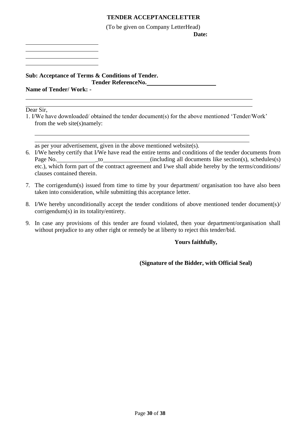### **TENDER ACCEPTANCELETTER**

(To be given on Company LetterHead)

**Date:**

**Sub: Acceptance of Terms & Conditions of Tender. Tender ReferenceNo.**

**Name of Tender/ Work: -**

Dear Sir.

1. I/We have downloaded/ obtained the tender document(s) for the above mentioned "Tender/Work" from the web site(s)namely:

as per your advertisement, given in the above mentioned website(s).

- 6. I/We hereby certify that I/We have read the entire terms and conditions of the tender documents from Page No. \_\_\_\_\_\_\_\_\_\_\_\_\_\_to\_\_\_\_\_\_\_\_\_\_\_\_\_(including all documents like section(s), schedules(s) etc.), which form part of the contract agreement and I/we shall abide hereby by the terms/conditions/ clauses contained therein.
- 7. The corrigendum(s) issued from time to time by your department/ organisation too have also been taken into consideration, while submitting this acceptance letter.
- 8. I/We hereby unconditionally accept the tender conditions of above mentioned tender document(s)/ corrigendum(s) in its totality/entirety.
- 9. In case any provisions of this tender are found violated, then your department/organisation shall without prejudice to any other right or remedy be at liberty to reject this tender/bid.

#### **Yours faithfully,**

#### **(Signature of the Bidder, with Official Seal)**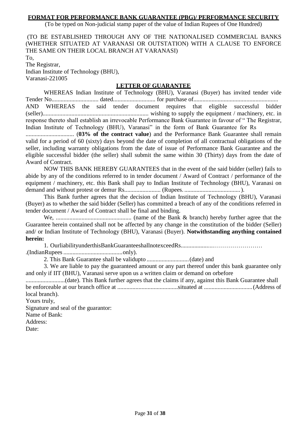#### **FORMAT FOR PERFORMANCE BANK GUARANTEE (PBG)/ PERFORMANCE SECURITY**

(To be typed on Non-judicial stamp paper of the value of Indian Rupees of One Hundred)

(TO BE ESTABLISHED THROUGH ANY OF THE NATIONALISED COMMERCIAL BANKS (WHETHER SITUATED AT VARANASI OR OUTSTATION) WITH A CLAUSE TO ENFORCE THE SAME ON THEIR LOCAL BRANCH AT VARANASI)

To, The Registrar, Indian Institute of Technology (BHU), Varanasi-221005

#### **LETTER OF GUARANTEE**

WHEREAS Indian Institute of Technology (BHU), Varanasi (Buyer) has invited tender vide Tender No............................... dated............................ for purchase of........................................................ AND WHEREAS the said tender document requires that eligible successful bidder (seller)...................................................................... wishing to supply the equipment / machinery, etc. in response thereto shall establish an irrevocable Performance Bank Guarantee in favour of " The Registrar, Indian Institute of Technology (BHU), Varanasi" in the form of Bank Guarantee for Rs

................................ (**03% of the contract value**) and the Performance Bank Guarantee shall remain valid for a period of 60 (sixty) days beyond the date of completion of all contractual obligations of the seller, including warranty obligations from the date of issue of Performance Bank Guarantee and the eligible successful bidder (the seller) shall submit the same within 30 (Thirty) days from the date of Award of Contract.

NOW THIS BANK HEREBY GUARANTEES that in the event of the said bidder (seller) fails to abide by any of the conditions referred to in tender document / Award of Contract / performance of the equipment / machinery, etc. this Bank shall pay to Indian Institute of Technology (BHU), Varanasi on demand and without protest or demur Rs........................ (Rupees. .....................................).

This Bank further agrees that the decision of Indian Institute of Technology (BHU), Varanasi (Buyer) as to whether the said bidder (Seller) has committed a breach of any of the conditions referred in tender document / Award of Contract shall be final and binding.

We, .................................................. (name of the Bank & branch) hereby further agree that the Guarantee herein contained shall not be affected by any change in the constitution of the bidder (Seller) and/ or Indian Institute of Technology (BHU), Varanasi (Buyer). **Notwithstanding anything contained herein:**

1. OurliabilityunderthisBankGuaranteeshallnotexceedRs......................…………………… .(IndianRupees.......................................only).

2. This Bank Guarantee shall be validupto ............................(date) and

3. We are liable to pay the guaranteed amount or any part thereof under this bank guarantee only and only if IIT (BHU), Varanasi serve upon us a written claim or demand on orbefore

..........................(date). This Bank further agrees that the claims if any, against this Bank Guarantee shall be enforceable at our branch office at ........................................situated at ................................(Address of local branch).

Yours truly,

Signature and seal of the guarantor: Name of Bank: Address: Date: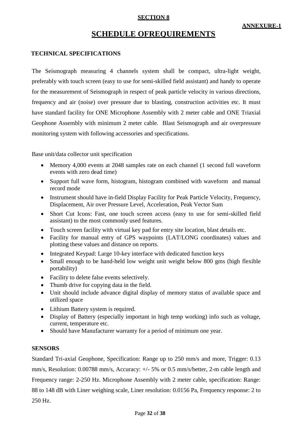### **SECTION 8**

# **SCHEDULE OFREQUIREMENTS**

#### **TECHNICAL SPECIFICATIONS**

The Seismograph measuring 4 channels system shall be compact, ultra-light weight, preferably with touch screen (easy to use for semi-skilled field assistant) and handy to operate for the measurement of Seismograph in respect of peak particle velocity in various directions, frequency and air (noise) over pressure due to blasting, construction activities etc. It must have standard facility for ONE Microphone Assembly with 2 meter cable and ONE Triaxial Geophone Assembly with minimum 2 meter cable. Blast Seismograph and air overpressure monitoring system with following accessories and specifications.

Base unit/data collector unit specification

- Memory 4,000 events at 2048 samples rate on each channel (1 second full waveform events with zero dead time)
- Support full wave form, histogram, histogram combined with waveform and manual record mode
- Instrument should have in-field Display Facility for Peak Particle Velocity, Frequency, Displacement, Air over Pressure Level, Acceleration, Peak Vector Sum
- Short Cut Icons: Fast, one touch screen access (easy to use for semi-skilled field assistant) to the most commonly used features.
- Touch screen facility with virtual key pad for entry site location, blast details etc.
- Facility for manual entry of GPS waypoints (LAT/LONG coordinates) values and plotting these values and distance on reports.
- Integrated Keypad: Large 10-key interface with dedicated function keys
- Small enough to be hand-held low weight unit weight below 800 gms (high flexible portability)
- Facility to delete false events selectively.
- Thumb drive for copying data in the field.
- Unit should include advance digital display of memory status of available space and utilized space
- Lithium Battery system is required.
- Display of Battery (especially important in high temp working) info such as voltage, current, temperature etc.
- Should have Manufacturer warranty for a period of minimum one year.

#### **SENSORS**

Standard Tri-axial Geophone, Specification: Range up to 250 mm/s and more, Trigger: 0.13 mm/s, Resolution: 0.00788 mm/s, Accuracy: +/- 5% or 0.5 mm/s/better, 2-m cable length and Frequency range: 2-250 Hz. Microphone Assembly with 2 meter cable, specification: Range: 88 to 148 dB with Liner weighing scale, Liner resolution: 0.0156 Pa, Frequency response: 2 to 250 Hz.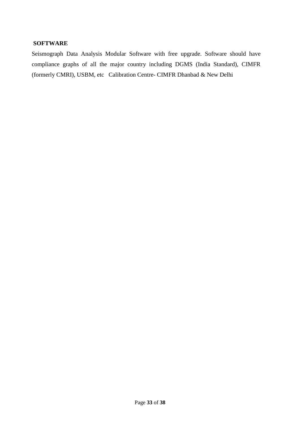#### **SOFTWARE**

Seismograph Data Analysis Modular Software with free upgrade. Software should have compliance graphs of all the major country including DGMS (India Standard), CIMFR (formerly CMRI), USBM, etc Calibration Centre- CIMFR Dhanbad & New Delhi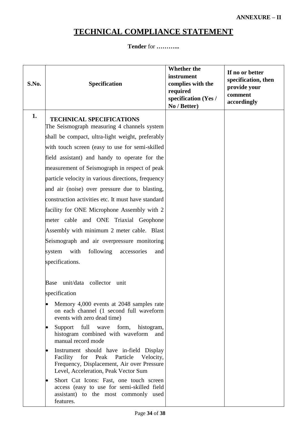# **TECHNICAL COMPLIANCE STATEMENT**

**Tender** for **………...**

| S.No. | <b>Specification</b>                                                                                                                                                           | <b>Whether the</b><br>instrument<br>complies with the<br>required<br>specification (Yes /<br>No / Better) | If no or better<br>specification, then<br>provide your<br>comment<br>accordingly |
|-------|--------------------------------------------------------------------------------------------------------------------------------------------------------------------------------|-----------------------------------------------------------------------------------------------------------|----------------------------------------------------------------------------------|
| 1.    | <b>TECHNICAL SPECIFICATIONS</b>                                                                                                                                                |                                                                                                           |                                                                                  |
|       | The Seismograph measuring 4 channels system                                                                                                                                    |                                                                                                           |                                                                                  |
|       | shall be compact, ultra-light weight, preferably                                                                                                                               |                                                                                                           |                                                                                  |
|       | with touch screen (easy to use for semi-skilled                                                                                                                                |                                                                                                           |                                                                                  |
|       | field assistant) and handy to operate for the                                                                                                                                  |                                                                                                           |                                                                                  |
|       | measurement of Seismograph in respect of peak                                                                                                                                  |                                                                                                           |                                                                                  |
|       | particle velocity in various directions, frequency                                                                                                                             |                                                                                                           |                                                                                  |
|       | and air (noise) over pressure due to blasting,                                                                                                                                 |                                                                                                           |                                                                                  |
|       | construction activities etc. It must have standard                                                                                                                             |                                                                                                           |                                                                                  |
|       | facility for ONE Microphone Assembly with 2                                                                                                                                    |                                                                                                           |                                                                                  |
|       | meter cable and ONE Triaxial Geophone                                                                                                                                          |                                                                                                           |                                                                                  |
|       | Assembly with minimum 2 meter cable. Blast                                                                                                                                     |                                                                                                           |                                                                                  |
|       | Seismograph and air overpressure monitoring                                                                                                                                    |                                                                                                           |                                                                                  |
|       | with<br>following<br>system<br>accessories<br>and                                                                                                                              |                                                                                                           |                                                                                  |
|       | specifications.                                                                                                                                                                |                                                                                                           |                                                                                  |
|       |                                                                                                                                                                                |                                                                                                           |                                                                                  |
|       | unit/data collector unit<br>Base                                                                                                                                               |                                                                                                           |                                                                                  |
|       | specification                                                                                                                                                                  |                                                                                                           |                                                                                  |
|       | Memory 4,000 events at 2048 samples rate<br>on each channel (1 second full waveform<br>events with zero dead time)                                                             |                                                                                                           |                                                                                  |
|       | Support<br>full<br>wave form,<br>histogram,<br>$\bullet$<br>histogram combined with waveform and<br>manual record mode                                                         |                                                                                                           |                                                                                  |
|       | Instrument should have in-field Display<br>Facility for<br>Peak<br>Particle<br>Velocity,<br>Frequency, Displacement, Air over Pressure<br>Level, Acceleration, Peak Vector Sum |                                                                                                           |                                                                                  |
|       | Short Cut Icons: Fast, one touch screen<br>access (easy to use for semi-skilled field<br>assistant) to the most commonly used<br>features.                                     |                                                                                                           |                                                                                  |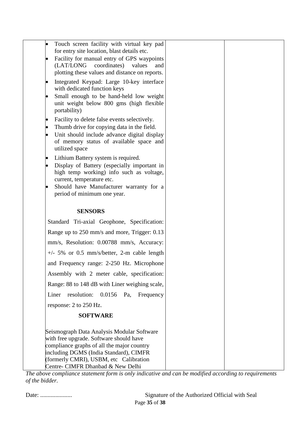| Touch screen facility with virtual key pad<br>for entry site location, blast details etc.                                                                                     |  |
|-------------------------------------------------------------------------------------------------------------------------------------------------------------------------------|--|
| Facility for manual entry of GPS waypoints                                                                                                                                    |  |
| (LAT/LONG coordinates) values<br>and                                                                                                                                          |  |
| plotting these values and distance on reports.<br>Integrated Keypad: Large 10-key interface<br>$\bullet$                                                                      |  |
| with dedicated function keys                                                                                                                                                  |  |
| Small enough to be hand-held low weight<br>unit weight below 800 gms (high flexible<br>portability)                                                                           |  |
| Facility to delete false events selectively.<br>$\bullet$                                                                                                                     |  |
| Thumb drive for copying data in the field.<br>$\bullet$                                                                                                                       |  |
| Unit should include advance digital display<br>$\bullet$<br>of memory status of available space and<br>utilized space                                                         |  |
| Lithium Battery system is required.                                                                                                                                           |  |
| Display of Battery (especially important in<br>$\bullet$                                                                                                                      |  |
| high temp working) info such as voltage,                                                                                                                                      |  |
| current, temperature etc.<br>Should have Manufacturer warranty for a                                                                                                          |  |
| period of minimum one year.                                                                                                                                                   |  |
|                                                                                                                                                                               |  |
| <b>SENSORS</b>                                                                                                                                                                |  |
| Standard Tri-axial Geophone, Specification:                                                                                                                                   |  |
| Range up to 250 mm/s and more, Trigger: 0.13                                                                                                                                  |  |
| mm/s, Resolution: 0.00788 mm/s, Accuracy:                                                                                                                                     |  |
| $+/-$ 5% or 0.5 mm/s/better, 2-m cable length                                                                                                                                 |  |
| and Frequency range: 2-250 Hz. Microphone                                                                                                                                     |  |
| Assembly with 2 meter cable, specification:                                                                                                                                   |  |
| Range: 88 to 148 dB with Liner weighing scale,                                                                                                                                |  |
| resolution:<br>Liner<br>$0.0156$ Pa,<br>Frequency                                                                                                                             |  |
| response: 2 to 250 Hz.                                                                                                                                                        |  |
| <b>SOFTWARE</b>                                                                                                                                                               |  |
| Seismograph Data Analysis Modular Software<br>with free upgrade. Software should have<br>compliance graphs of all the major country<br>including DGMS (India Standard), CIMFR |  |
| (formerly CMRI), USBM, etc Calibration<br>Centre- CIMFR Dhanbad & New Delhi                                                                                                   |  |

*The above compliance statement form is only indicative and can be modified according to requirements of the bidder.*

|  | Date: |
|--|-------|
|--|-------|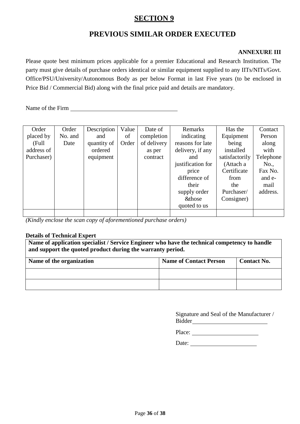# **SECTION 9**

# **PREVIOUS SIMILAR ORDER EXECUTED**

### **ANNEXURE III**

Please quote best minimum prices applicable for a premier Educational and Research Institution. The party must give details of purchase orders identical or similar equipment supplied to any IITs/NITs/Govt. Office/PSU/University/Autonomous Body as per below Format in last Five years (to be enclosed in Price Bid / Commercial Bid) along with the final price paid and details are mandatory.

Name of the Firm

| Order      | Order   | Description | Value | Date of     | Remarks            | Has the        | Contact   |
|------------|---------|-------------|-------|-------------|--------------------|----------------|-----------|
|            |         |             |       |             |                    |                |           |
| placed by  | No. and | and         | of    | completion  | indicating         | Equipment      | Person    |
| (Full      | Date    | quantity of | Order | of delivery | reasons for late   | being          | along     |
| address of |         | ordered     |       | as per      | delivery, if any   | installed      | with      |
| Purchaser) |         | equipment   |       | contract    | and                | satisfactorily | Telephone |
|            |         |             |       |             | justification for  | (Attach a      | No.,      |
|            |         |             |       |             | price              | Certificate    | Fax No.   |
|            |         |             |       |             | difference of      | from           | and e-    |
|            |         |             |       |             | their              | the            | mail      |
|            |         |             |       |             | supply order       | Purchaser/     | address.  |
|            |         |             |       |             | <b>&amp;</b> those | Consigner)     |           |
|            |         |             |       |             | quoted to us       |                |           |
|            |         |             |       |             |                    |                |           |

*(Kindly enclose the scan copy of aforementioned purchase orders)*

#### **Details of Technical Expert**

**Name of application specialist / Service Engineer who have the technical competency to handle and support the quoted product during the warranty period.**

| Name of the organization | <b>Name of Contact Person</b> | <b>Contact No.</b> |
|--------------------------|-------------------------------|--------------------|
|                          |                               |                    |
|                          |                               |                    |

| Signature and Seal of the Manufacturer / |  |
|------------------------------------------|--|
| Bidder                                   |  |

Place:

Date: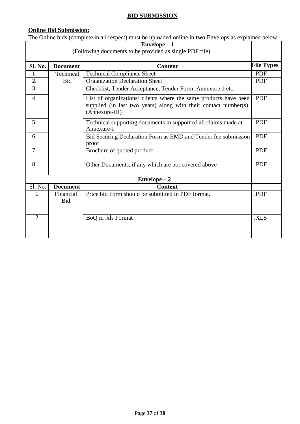# **BID SUBMISSION**

# **Online Bid Submission:**

The Online bids (complete in all respect) must be uploaded online in **two** Envelops as explained below:-

| $Envelope - 1$                                          |                         |                                                                                                                                                        |                   |  |
|---------------------------------------------------------|-------------------------|--------------------------------------------------------------------------------------------------------------------------------------------------------|-------------------|--|
| (Following documents to be provided as single PDF file) |                         |                                                                                                                                                        |                   |  |
|                                                         |                         |                                                                                                                                                        |                   |  |
| Sl. No.                                                 | <b>Document</b>         | <b>Content</b>                                                                                                                                         | <b>File Types</b> |  |
| 1.                                                      | Technical               | <b>Technical Compliance Sheet</b>                                                                                                                      | .PDF              |  |
| 2.                                                      | Bid                     | <b>Organization Declaration Sheet</b>                                                                                                                  | .PDF              |  |
| 3.                                                      |                         | Checklist, Tender Acceptance, Tender Form, Annexure 1 etc.                                                                                             |                   |  |
| $\overline{4}$ .                                        |                         | List of organizations/ clients where the same products have been<br>supplied (in last two years) along with their contact number(s).<br>(Annexure-III) | .PDF              |  |
| 5.                                                      |                         | Technical supporting documents in support of all claims made at<br>Annexure-I                                                                          | .PDF              |  |
| 6.                                                      |                         | Bid Securing Declaration Form as EMD and Tender fee submission<br>proof                                                                                | .PDF              |  |
| 7.                                                      |                         | Brochure of quoted product                                                                                                                             | .PDF              |  |
| 8.                                                      |                         | Other Documents, if any which are not covered above                                                                                                    | .PDF              |  |
| $Envelope - 2$                                          |                         |                                                                                                                                                        |                   |  |
| Sl. No.                                                 | <b>Document</b>         | <b>Content</b>                                                                                                                                         |                   |  |
| 1                                                       | Financial<br><b>Bid</b> | Price bid Form should be submitted in PDF format.                                                                                                      | .PDF              |  |
| $\overline{2}$                                          |                         | BoQ in .xls Format                                                                                                                                     | .XLS              |  |